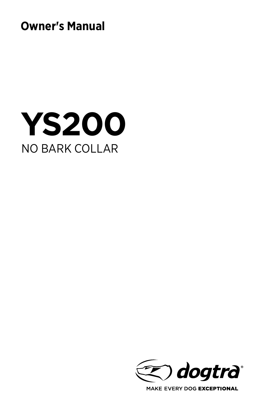**Owner's Manual**





MAKE EVERY DOG EXCEPTIONAL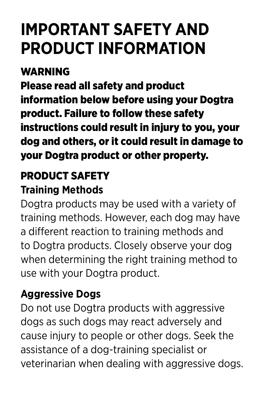## **IMPORTANT SAFETY AND PRODUCT INFORMATION**

## **WADNING**

Please read all safety and product information below before using your Dogtra product. Failure to follow these safety instructions could result in injury to you, your dog and others, or it could result in damage to your Dogtra product or other property.

### PRODUCT SAFETY

#### **Training Methods**

Dogtra products may be used with a variety of training methods. However, each dog may have a different reaction to training methods and to Dogtra products. Closely observe your dog when determining the right training method to use with your Dogtra product.

#### **Aggressive Dogs**

Do not use Dogtra products with aggressive dogs as such dogs may react adversely and cause injury to people or other dogs. Seek the assistance of a dog-training specialist or veterinarian when dealing with aggressive dogs.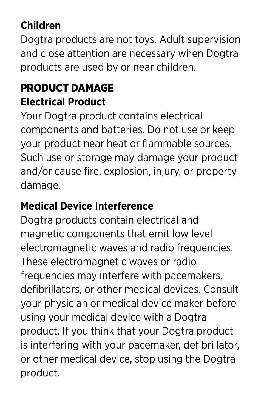### **Children**

Dogtra products are not toys. Adult supervision and close attention are necessary when Dogtra products are used by or near children.

### PRODUCT DAMAGE **Electrical Product**

Your Dogtra product contains electrical components and batteries. Do not use or keep your product near heat or flammable sources. Such use or storage may damage your product and/or cause fire, explosion, injury, or property damage.

### **Medical Device Interference**

Dogtra products contain electrical and magnetic components that emit low level electromagnetic waves and radio frequencies. These electromagnetic waves or radio frequencies may interfere with pacemakers, defibrillators, or other medical devices. Consult your physician or medical device maker before using your medical device with a Dogtra product. If you think that your Dogtra product is interfering with your pacemaker, defibrillator, or other medical device, stop using the Dogtra product.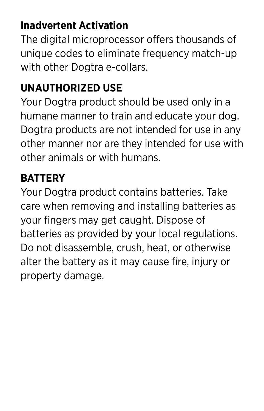### **Inadvertent Activation**

The digital microprocessor offers thousands of unique codes to eliminate frequency match-up with other Dogtra e-collars.

#### **UNAUTHORIZED USE**

Your Dogtra product should be used only in a humane manner to train and educate your dog. Dogtra products are not intended for use in any other manner nor are they intended for use with other animals or with humans.

#### **BATTERY**

Your Dogtra product contains batteries. Take care when removing and installing batteries as your fingers may get caught. Dispose of batteries as provided by your local regulations. Do not disassemble, crush, heat, or otherwise alter the battery as it may cause fire, injury or property damage.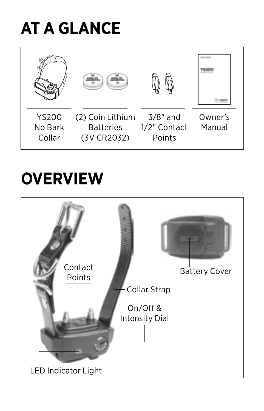## **AT A GLANCE**



## **OVERVIEW**

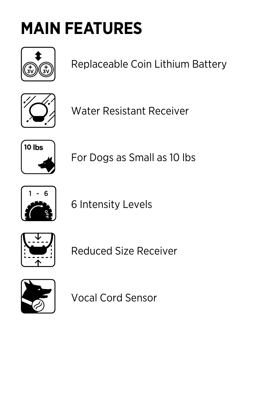# **MAIN FEATURES**



Replaceable Coin Lithium Battery



Water Resistant Receiver



For Dogs as Small as 10 lbs



6 Intensity Levels



Reduced Size Receiver



Vocal Cord Sensor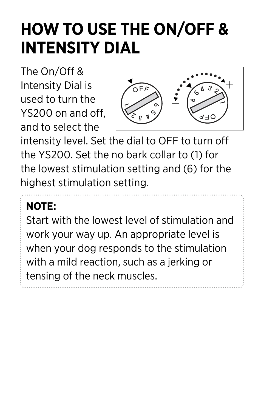## **HOW TO USE THE ON/OFF & INTENSITY DIAL**

The On/Off & Intensity Dial is used to turn the YS200 on and off, and to select the



intensity level. Set the dial to OFF to turn off the YS200. Set the no bark collar to (1) for the lowest stimulation setting and (6) for the highest stimulation setting.

## **NOTE:**

Start with the lowest level of stimulation and work your way up. An appropriate level is when your dog responds to the stimulation with a mild reaction, such as a jerking or tensing of the neck muscles.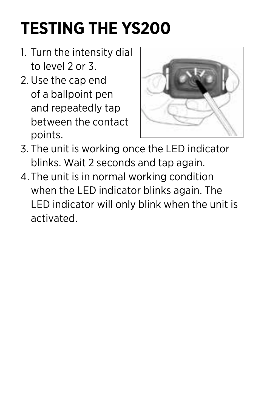# **TESTING THE YS200**

- 1. Turn the intensity dial to level 2 or 3.
- 2. Use the cap end of a ballpoint pen and repeatedly tap between the contact points.



- 3. The unit is working once the LED indicator blinks. Wait 2 seconds and tap again.
- 4.The unit is in normal working condition when the LED indicator blinks again. The LED indicator will only blink when the unit is activated.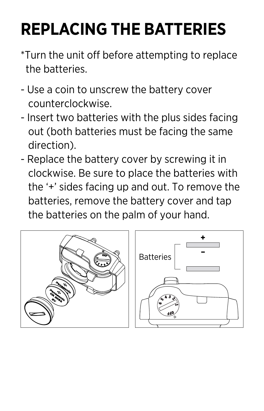## **REPLACING THE BATTERIES**

- \*Turn the unit off before attempting to replace the batteries.
- Use a coin to unscrew the battery cover counterclockwise.
- Insert two batteries with the plus sides facing out (both batteries must be facing the same direction).
- Replace the battery cover by screwing it in clockwise. Be sure to place the batteries with the '+' sides facing up and out. To remove the batteries, remove the battery cover and tap the batteries on the palm of your hand.

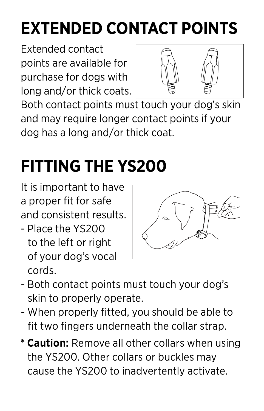# **EXTENDED CONTACT POINTS**

Extended contact points are available for purchase for dogs with long and/or thick coats.



Both contact points must touch your dog's skin and may require longer contact points if your dog has a long and/or thick coat.

# **FITTING THE YS200**

It is important to have a proper fit for safe and consistent results.

- Place the YS200 to the left or right of your dog's vocal cords.



- Both contact points must touch your dog's skin to properly operate.
- When properly fitted, you should be able to fit two fingers underneath the collar strap.
- **\* Caution:** Remove all other collars when using the YS200. Other collars or buckles may cause the YS200 to inadvertently activate.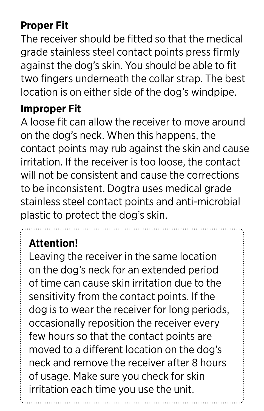### **Proper Fit**

The receiver should be fitted so that the medical grade stainless steel contact points press firmly against the dog's skin. You should be able to fit two fingers underneath the collar strap. The best location is on either side of the dog's windpipe.

#### **Improper Fit**

A loose fit can allow the receiver to move around on the dog's neck. When this happens, the contact points may rub against the skin and cause irritation. If the receiver is too loose, the contact will not be consistent and cause the corrections to be inconsistent. Dogtra uses medical grade stainless steel contact points and anti-microbial plastic to protect the dog's skin.

## **Attention!**

Leaving the receiver in the same location on the dog's neck for an extended period of time can cause skin irritation due to the sensitivity from the contact points. If the dog is to wear the receiver for long periods, occasionally reposition the receiver every few hours so that the contact points are moved to a different location on the dog's neck and remove the receiver after 8 hours of usage. Make sure you check for skin irritation each time you use the unit.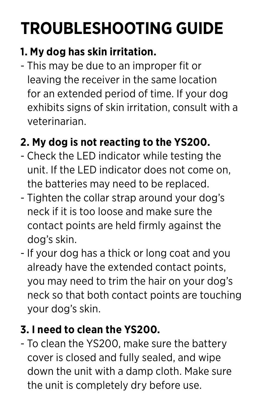# **TROUBLESHOOTING GUIDE**

## **1. My dog has skin irritation.**

- This may be due to an improper fit or leaving the receiver in the same location for an extended period of time. If your dog exhibits signs of skin irritation, consult with a veterinarian.

## **2. My dog is not reacting to the YS200.**

- Check the LED indicator while testing the unit. If the LED indicator does not come on, the batteries may need to be replaced.
- Tighten the collar strap around your dog's neck if it is too loose and make sure the contact points are held firmly against the dog's skin.
- If your dog has a thick or long coat and you already have the extended contact points, you may need to trim the hair on your dog's neck so that both contact points are touching your dog's skin.

## **3. I need to clean the YS200.**

- To clean the YS200, make sure the battery cover is closed and fully sealed, and wipe down the unit with a damp cloth. Make sure the unit is completely dry before use.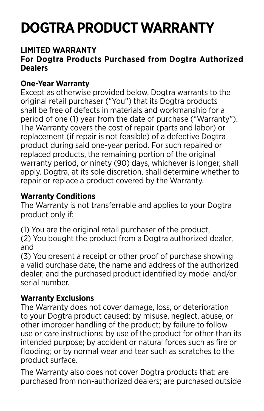## **DOGTRA PRODUCT WARRANTY**

#### **LIMITED WARRANTY**

#### **For Dogtra Products Purchased from Dogtra Authorized Dealers**

#### **One-Year Warranty**

Except as otherwise provided below, Dogtra warrants to the original retail purchaser ("You") that its Dogtra products shall be free of defects in materials and workmanship for a period of one (1) year from the date of purchase ("Warranty"). The Warranty covers the cost of repair (parts and labor) or replacement (if repair is not feasible) of a defective Dogtra product during said one-year period. For such repaired or replaced products, the remaining portion of the original warranty period, or ninety (90) days, whichever is longer, shall apply. Dogtra, at its sole discretion, shall determine whether to repair or replace a product covered by the Warranty.

#### **Warranty Conditions**

The Warranty is not transferrable and applies to your Dogtra product only if:

(1) You are the original retail purchaser of the product, (2) You bought the product from a Dogtra authorized dealer, and

(3) You present a receipt or other proof of purchase showing a valid purchase date, the name and address of the authorized dealer, and the purchased product identified by model and/or serial number.

#### **Warranty Exclusions**

The Warranty does not cover damage, loss, or deterioration to your Dogtra product caused: by misuse, neglect, abuse, or other improper handling of the product; by failure to follow use or care instructions; by use of the product for other than its intended purpose; by accident or natural forces such as fire or flooding; or by normal wear and tear such as scratches to the product surface.

The Warranty also does not cover Dogtra products that: are purchased from non-authorized dealers; are purchased outside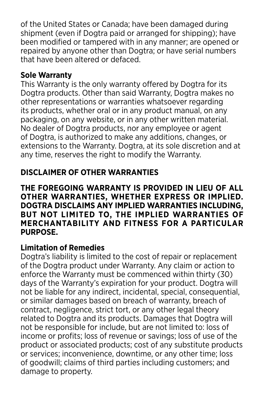of the United States or Canada; have been damaged during shipment (even if Dogtra paid or arranged for shipping); have been modified or tampered with in any manner; are opened or repaired by anyone other than Dogtra; or have serial numbers that have been altered or defaced.

#### **Sole Warranty**

This Warranty is the only warranty offered by Dogtra for its Dogtra products. Other than said Warranty, Dogtra makes no other representations or warranties whatsoever regarding its products, whether oral or in any product manual, on any packaging, on any website, or in any other written material. No dealer of Dogtra products, nor any employee or agent of Dogtra, is authorized to make any additions, changes, or extensions to the Warranty. Dogtra, at its sole discretion and at any time, reserves the right to modify the Warranty.

#### **DISCLAIMER OF OTHER WARRANTIES**

**THE FOREGOING WARRANTY IS PROVIDED IN LIEU OF ALL OTHER WARRANTIES, WHETHER EXPRESS OR IMPLIED. DOGTRA DISCLAIMS ANY IMPLIED WARRANTIES INCLUDING, BUT NOT LIMITED TO, THE IMPLIED WARRANTIES OF MERCHANTABILITY AND FITNESS FOR A PARTICULAR PURPOSE.**

#### **Limitation of Remedies**

Dogtra's liability is limited to the cost of repair or replacement of the Dogtra product under Warranty. Any claim or action to enforce the Warranty must be commenced within thirty (30) days of the Warranty's expiration for your product. Dogtra will not be liable for any indirect, incidental, special, consequential, or similar damages based on breach of warranty, breach of contract, negligence, strict tort, or any other legal theory related to Dogtra and its products. Damages that Dogtra will not be responsible for include, but are not limited to: loss of income or profits; loss of revenue or savings; loss of use of the product or associated products; cost of any substitute products or services; inconvenience, downtime, or any other time; loss of goodwill; claims of third parties including customers; and damage to property.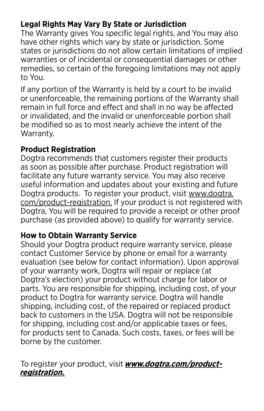#### **Legal Rights May Vary By State or Jurisdiction**

The Warranty gives You specific legal rights, and You may also have other rights which vary by state or jurisdiction. Some states or jurisdictions do not allow certain limitations of implied warranties or of incidental or consequential damages or other remedies, so certain of the foregoing limitations may not apply to You.

If any portion of the Warranty is held by a court to be invalid or unenforceable, the remaining portions of the Warranty shall remain in full force and effect and shall in no way be affected or invalidated, and the invalid or unenforceable portion shall be modified so as to most nearly achieve the intent of the Warranty.

#### **Product Registration**

Dogtra recommends that customers register their products as soon as possible after purchase. Product registration will facilitate any future warranty service. You may also receive useful information and updates about your existing and future Dogtra products. To register your product, visit www.dogtra. com/product-registration. If your product is not registered with Dogtra, You will be required to provide a receipt or other proof purchase (as provided above) to qualify for warranty service.

#### **How to Obtain Warranty Service**

Should your Dogtra product require warranty service, please contact Customer Service by phone or email for a warranty evaluation (see below for contact information). Upon approval of your warranty work, Dogtra will repair or replace (at Dogtra's election) your product without charge for labor or parts. You are responsible for shipping, including cost, of your product to Dogtra for warranty service. Dogtra will handle shipping, including cost, of the repaired or replaced product back to customers in the USA. Dogtra will not be responsible for shipping, including cost and/or applicable taxes or fees, for products sent to Canada. Such costs, taxes, or fees will be borne by the customer.

To register your product, visit **www.dogtra.com/productregistration.**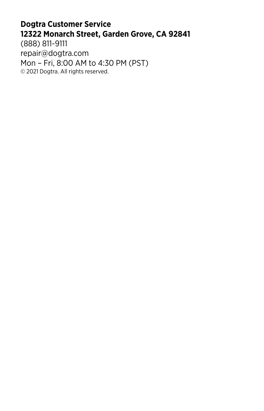#### **Dogtra Customer Service 12322 Monarch Street, Garden Grove, CA 92841** (888) 811-9111

repair@dogtra.com Mon – Fri, 8:00 AM to 4:30 PM (PST) © 2021 Dogtra. All rights reserved.